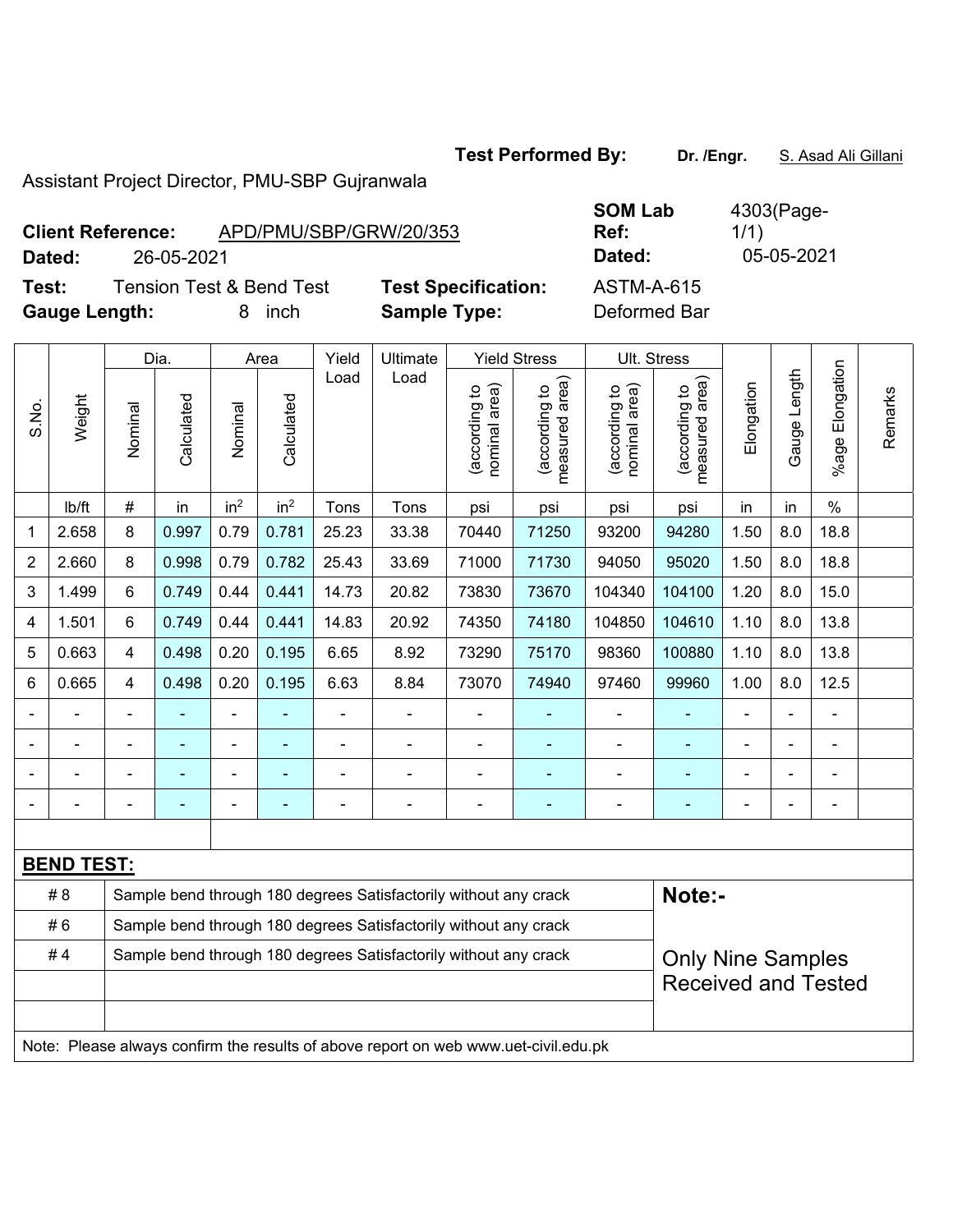Test Performed By: Dr. /Engr. S. Asad Ali Gillani

Assistant Project Director, PMU-SBP Gujranwala

## **Client Reference:** APD/PMU/SBP/GRW/20/353

**Test:** Tension Test & Bend Test **Test Specification:** ASTM-A-615

| <b>Gauge Length:</b> |       |         | 8          | inch            |                 | <b>Sample Type:</b> |          |                                     | Deformed Bar                         |                                     |                                      |            |                 |                    |
|----------------------|-------|---------|------------|-----------------|-----------------|---------------------|----------|-------------------------------------|--------------------------------------|-------------------------------------|--------------------------------------|------------|-----------------|--------------------|
|                      |       | Dia.    |            | Area            |                 | Yield               | Ultimate | <b>Yield Stress</b>                 |                                      | Ult. Stress                         |                                      |            |                 |                    |
| Weight<br>S.No.      |       | Nominal | Calculated | Nominal         | Calculated      | Load                | Load     | area)<br>₽<br>(according<br>nominal | area)<br>đ<br>(according<br>measured | area)<br>đ<br>(according<br>nominal | area)<br>đ<br>(according<br>measured | Elongation | Length<br>Gauge | Elongation<br>%age |
|                      | lb/ft | #       | in         | in <sup>2</sup> | in <sup>2</sup> | Tons                | Tons     | psi                                 | psi                                  | psi                                 | psi                                  | in         | in              | %                  |
|                      | 2.658 | 8       | 0.997      | 0.79            | 0.781           | 25.23               | 33.38    | 70440                               | 71250                                | 93200                               | 94280                                | 1.50       | 8.0             | 18.8               |
| $\overline{2}$       | 2.660 | 8       | 0.998      | 0.79            | 0.782           | 25.43               | 33.69    | 71000                               | 71730                                | 94050                               | 95020                                | 1.50       | 8.0             | 18.8               |
| 3                    | 1.499 | 6       | 0.749      | 0.44            | 0.441           | 14.73               | 20.82    | 73830                               | 73670                                | 104340                              | 104100                               | 1.20       | 8.0             | 15.0               |

4 | 1.501 | 6 | 0.749 | 0.44 | 0.441 | 14.83 | 20.92 | 74350 | 74180 | 104850 | 104610 | 1.10 | 8.0 | 13.8 5 | 0.663 | 4 | 0.498 | 0.20 | 0.195 | 6.65 | 8.92 | 73290 | 75170 | 98360 | 100880 | 1.10 | 8.0 | 13.8 6 | 0.665 | 4 | 0.498 | 0.20 | 0.195 | 6.63 | 8.84 | 73070 | 74940 | 97460 | 99960 | 1.00 | 8.0 | 12.5 - - - - - - - - - - - - - - - - - - - - - - - - - - - - - - - - - - - - - - - - - - - - - - - - - - - - - - - - - - - -

| <b>BEND TEST:</b> |  |                                                                                     |                            |  |  |  |  |  |  |  |
|-------------------|--|-------------------------------------------------------------------------------------|----------------------------|--|--|--|--|--|--|--|
| #8                |  | Sample bend through 180 degrees Satisfactorily without any crack                    | Note:-                     |  |  |  |  |  |  |  |
| #6                |  | Sample bend through 180 degrees Satisfactorily without any crack                    |                            |  |  |  |  |  |  |  |
| #4                |  | Sample bend through 180 degrees Satisfactorily without any crack                    | <b>Only Nine Samples</b>   |  |  |  |  |  |  |  |
|                   |  |                                                                                     | <b>Received and Tested</b> |  |  |  |  |  |  |  |
|                   |  |                                                                                     |                            |  |  |  |  |  |  |  |
|                   |  | Note: Please always confirm the results of above report on web www.uet-civil.edu.pk |                            |  |  |  |  |  |  |  |

**SOM Lab Ref:**  4303(Page-1/1) **Dated:** 26-05-2021 **Dated:** 05-05-2021

Remarks

Remarks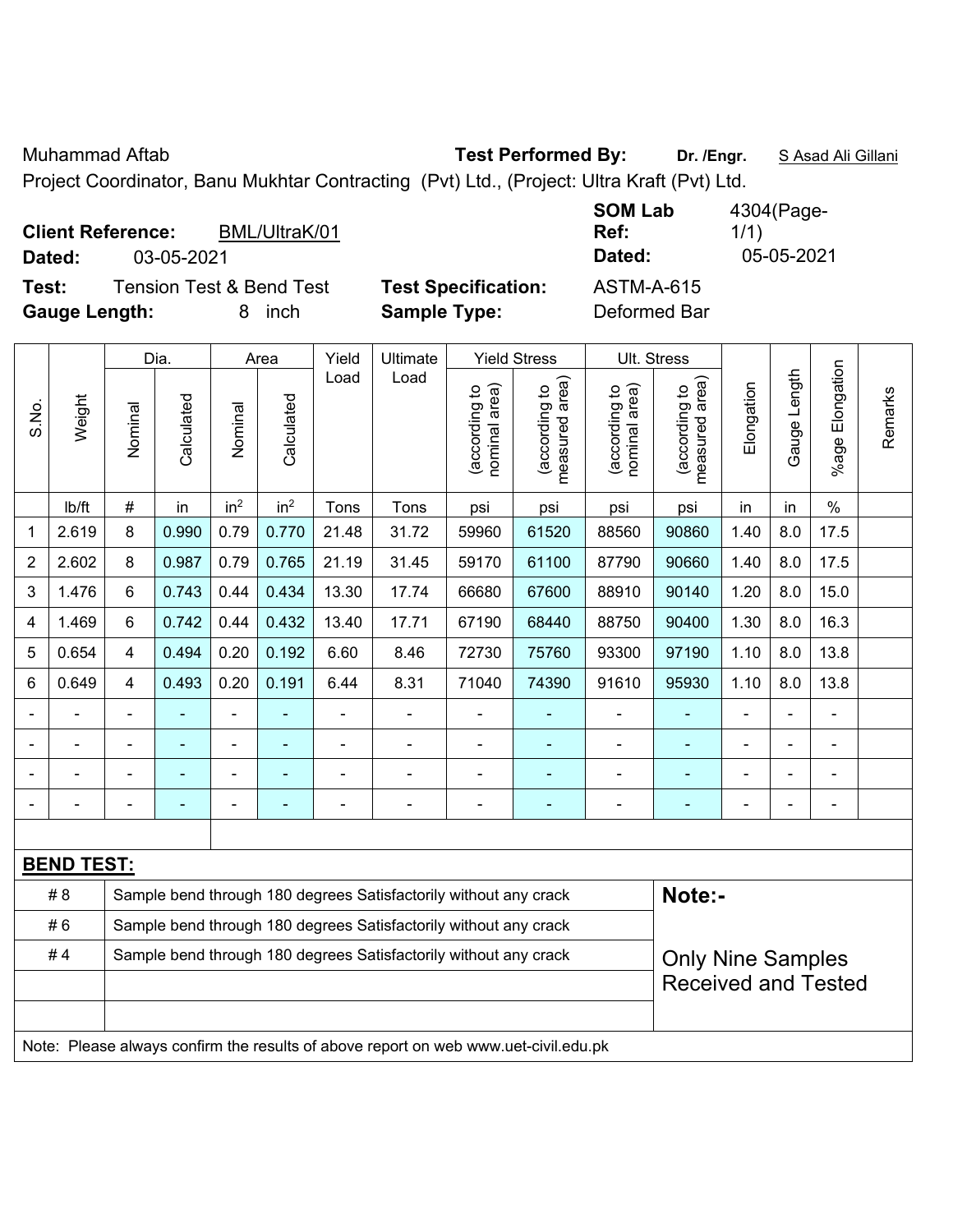Muhammad Aftab **Test Performed By: Dr. /Engr.** S Asad Ali Gillani

Project Coordinator, Banu Mukhtar Contracting (Pvt) Ltd., (Project: Ultra Kraft (Pvt) Ltd.

| <b>Client Reference:</b><br>BML/UltraK/01    |                            | <b>SOM Lab</b><br>Ref: | 4304(Page-<br>1/1) |
|----------------------------------------------|----------------------------|------------------------|--------------------|
| 03-05-2021<br>Dated:                         |                            | Dated:                 | 05-05-2021         |
| <b>Tension Test &amp; Bend Test</b><br>Test: | <b>Test Specification:</b> | <b>ASTM-A-615</b>      |                    |
| <b>Gauge Length:</b><br>inch                 | <b>Sample Type:</b>        | Deformed Bar           |                    |

|                |                                                                        | Dia.           |            | Area            |                 | Yield          | <b>Ultimate</b>                                                                     | <b>Yield Stress</b>            |                                 | Ult. Stress                    |                                 |            |              |                          |         |
|----------------|------------------------------------------------------------------------|----------------|------------|-----------------|-----------------|----------------|-------------------------------------------------------------------------------------|--------------------------------|---------------------------------|--------------------------------|---------------------------------|------------|--------------|--------------------------|---------|
| S.No.          | Weight                                                                 | Nominal        | Calculated | Nominal         | Calculated      | Load           | Load                                                                                | (according to<br>nominal area) | (according to<br>measured area) | nominal area)<br>(according to | (according to<br>measured area) | Elongation | Gauge Length | Elongation<br>$%$ age    | Remarks |
|                | Ib/ft                                                                  | $\#$           | in         | in <sup>2</sup> | in <sup>2</sup> | Tons           | Tons                                                                                | psi                            | psi                             | psi                            | psi                             | in         | in           | $\%$                     |         |
| 1              | 2.619                                                                  | 8              | 0.990      | 0.79            | 0.770           | 21.48          | 31.72                                                                               | 59960                          | 61520                           | 88560                          | 90860                           | 1.40       | 8.0          | 17.5                     |         |
| $\overline{2}$ | 2.602                                                                  | 8              | 0.987      | 0.79            | 0.765           | 21.19          | 31.45                                                                               | 59170                          | 61100                           | 87790                          | 90660                           | 1.40       | 8.0          | 17.5                     |         |
| 3              | 1.476                                                                  | $6\phantom{1}$ | 0.743      | 0.44            | 0.434           | 13.30          | 17.74                                                                               | 66680                          | 67600                           | 88910                          | 90140                           | 1.20       | 8.0          | 15.0                     |         |
| 4              | 1.469                                                                  | 6              | 0.742      | 0.44            | 0.432           | 13.40          | 17.71                                                                               | 67190                          | 68440                           | 88750                          | 90400                           | 1.30       | 8.0          | 16.3                     |         |
| 5              | 0.654                                                                  | $\overline{4}$ | 0.494      | 0.20            | 0.192           | 6.60           | 8.46                                                                                | 72730                          | 75760                           | 93300                          | 97190                           | 1.10       | 8.0          | 13.8                     |         |
| 6              | 0.649                                                                  | $\overline{4}$ | 0.493      | 0.20            | 0.191           | 6.44           | 8.31                                                                                | 71040                          | 74390                           | 91610                          | 95930                           | 1.10       | 8.0          | 13.8                     |         |
|                |                                                                        |                |            | ÷,              |                 |                | $\blacksquare$                                                                      | $\blacksquare$                 |                                 |                                |                                 |            |              | $\blacksquare$           |         |
|                |                                                                        |                |            | ۰               |                 |                | $\blacksquare$                                                                      | $\blacksquare$                 | $\blacksquare$                  | ÷                              |                                 |            |              |                          |         |
|                |                                                                        |                | ٠          | -               |                 |                | $\blacksquare$                                                                      | $\blacksquare$                 | $\blacksquare$                  | ÷                              | ۰                               | ÷          |              | -                        |         |
|                |                                                                        |                |            | ۰               | $\blacksquare$  | $\blacksquare$ | $\blacksquare$                                                                      | $\blacksquare$                 | $\blacksquare$                  | $\blacksquare$                 | ٠                               | ÷,         |              | $\overline{\phantom{a}}$ |         |
|                |                                                                        |                |            |                 |                 |                |                                                                                     |                                |                                 |                                |                                 |            |              |                          |         |
|                | <b>BEND TEST:</b>                                                      |                |            |                 |                 |                |                                                                                     |                                |                                 |                                |                                 |            |              |                          |         |
|                | #8                                                                     |                |            |                 |                 |                | Sample bend through 180 degrees Satisfactorily without any crack                    |                                |                                 |                                | Note:-                          |            |              |                          |         |
|                | #6                                                                     |                |            |                 |                 |                | Sample bend through 180 degrees Satisfactorily without any crack                    |                                |                                 |                                |                                 |            |              |                          |         |
|                | #4<br>Sample bend through 180 degrees Satisfactorily without any crack |                |            |                 |                 |                |                                                                                     |                                |                                 |                                | <b>Only Nine Samples</b>        |            |              |                          |         |
|                |                                                                        |                |            |                 |                 |                |                                                                                     |                                |                                 |                                | <b>Received and Tested</b>      |            |              |                          |         |
|                |                                                                        |                |            |                 |                 |                |                                                                                     |                                |                                 |                                |                                 |            |              |                          |         |
|                |                                                                        |                |            |                 |                 |                | Note: Please always confirm the results of above report on web www.uet-civil.edu.pk |                                |                                 |                                |                                 |            |              |                          |         |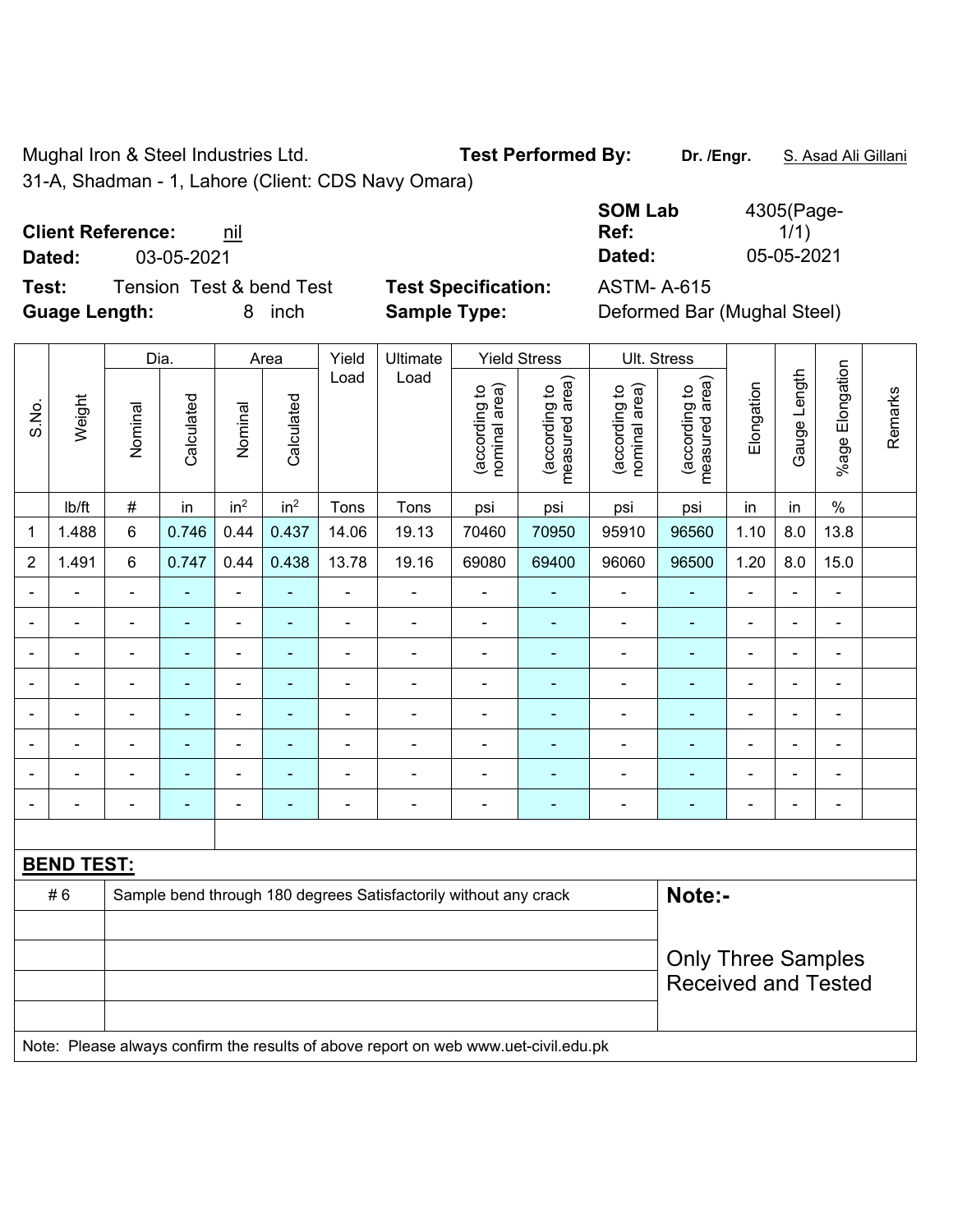Mughal Iron & Steel Industries Ltd. **Test Performed By:** Dr. /Engr. **S. Asad Ali Gillani** 

31-A, Shadman - 1, Lahore (Client: CDS Navy Omara)

## **Client Reference: nil**

**Dated:** 03-05-2021 **Dated:** 05-05-2021

**Test:** Tension Test & bend Test **Test Specification:** ASTM- A-615 **Guage Length:** 8 inch **Sample Type:** Deformed Bar (Mughal Steel)

| SOM Lab | 4305(Page- |
|---------|------------|
| Ref:    | 1/1)       |
| Dated:  | 05-05-2021 |

|                          |                          |                          | Dia.           |                          | Area            | Yield          | Ultimate                                                                            |                                | <b>Yield Stress</b>             |                                | Ult. Stress                     |                |                |                         |         |  |
|--------------------------|--------------------------|--------------------------|----------------|--------------------------|-----------------|----------------|-------------------------------------------------------------------------------------|--------------------------------|---------------------------------|--------------------------------|---------------------------------|----------------|----------------|-------------------------|---------|--|
| S.No.                    | Weight                   | Nominal                  | Calculated     | Nominal                  | Calculated      | Load           | Load                                                                                | nominal area)<br>(according to | (according to<br>measured area) | (according to<br>nominal area) | (according to<br>measured area) | Elongation     | Gauge Length   | Elongation<br>$%$ age I | Remarks |  |
|                          | Ib/ft                    | $\#$                     | in             | in <sup>2</sup>          | in <sup>2</sup> | Tons           | Tons                                                                                | psi                            | psi                             | psi                            | psi                             | in             | in             | $\%$                    |         |  |
| $\mathbf 1$              | 1.488                    | 6                        | 0.746          | 0.44                     | 0.437           | 14.06          | 19.13                                                                               | 70460                          | 70950                           | 95910                          | 96560                           | 1.10           | 8.0            | 13.8                    |         |  |
| $\overline{2}$           | 1.491                    | 6                        | 0.747          | 0.44                     | 0.438           | 13.78          | 19.16                                                                               | 69080                          | 69400                           | 96060                          | 96500                           | 1.20           | 8.0            | 15.0                    |         |  |
| $\blacksquare$           | $\blacksquare$           | $\blacksquare$           | ä,             | $\blacksquare$           | $\blacksquare$  | $\blacksquare$ | $\blacksquare$                                                                      | $\blacksquare$                 | $\blacksquare$                  | $\blacksquare$                 | ÷,                              | $\blacksquare$ | $\blacksquare$ | $\blacksquare$          |         |  |
|                          | $\overline{\phantom{a}}$ | ÷,                       | ÷,             | Ē,                       | $\blacksquare$  | $\blacksquare$ | $\blacksquare$                                                                      | ä,                             | $\blacksquare$                  | ÷                              | ÷                               | $\blacksquare$ | ÷,             | $\blacksquare$          |         |  |
| $\overline{\phantom{0}}$ | $\blacksquare$           | $\overline{\phantom{a}}$ | ä,             | $\blacksquare$           | $\blacksquare$  | $\blacksquare$ | $\blacksquare$                                                                      | $\overline{\phantom{a}}$       | $\blacksquare$                  | $\frac{1}{2}$                  | ÷                               | $\blacksquare$ | $\blacksquare$ | $\blacksquare$          |         |  |
|                          |                          | $\blacksquare$           | L.             | Ē,                       | ä,              | ä,             | $\blacksquare$                                                                      | $\blacksquare$                 |                                 | Ē,                             | ۰                               |                |                | $\blacksquare$          |         |  |
|                          |                          |                          |                |                          |                 |                | $\blacksquare$                                                                      | $\blacksquare$                 |                                 | $\blacksquare$                 | $\overline{\phantom{a}}$        | $\blacksquare$ | $\blacksquare$ |                         |         |  |
|                          |                          | $\blacksquare$           | ٠              | $\overline{\phantom{0}}$ | $\blacksquare$  | ÷              | $\blacksquare$                                                                      | $\blacksquare$                 | $\blacksquare$                  | ÷                              | $\blacksquare$                  | $\blacksquare$ | $\blacksquare$ | $\blacksquare$          |         |  |
|                          |                          | $\blacksquare$           | ÷,             | Ē,                       | ä,              | ÷              | $\blacksquare$                                                                      | $\blacksquare$                 | ٠                               | ÷                              | ۰                               | $\blacksquare$ | $\blacksquare$ | $\blacksquare$          |         |  |
| $\blacksquare$           |                          | $\blacksquare$           | $\blacksquare$ | ÷                        | ä,              | ÷              | $\blacksquare$                                                                      | $\blacksquare$                 | $\blacksquare$                  | $\frac{1}{2}$                  | $\blacksquare$                  | $\blacksquare$ | $\blacksquare$ | $\blacksquare$          |         |  |
|                          |                          |                          |                |                          |                 |                |                                                                                     |                                |                                 |                                |                                 |                |                |                         |         |  |
|                          | <b>BEND TEST:</b>        |                          |                |                          |                 |                |                                                                                     |                                |                                 |                                |                                 |                |                |                         |         |  |
|                          | #6                       |                          |                |                          |                 |                | Sample bend through 180 degrees Satisfactorily without any crack                    |                                |                                 |                                | Note:-                          |                |                |                         |         |  |
|                          |                          |                          |                |                          |                 |                |                                                                                     |                                |                                 |                                |                                 |                |                |                         |         |  |
|                          |                          |                          |                |                          |                 |                | <b>Only Three Samples</b>                                                           |                                |                                 |                                |                                 |                |                |                         |         |  |
|                          |                          |                          |                |                          |                 |                |                                                                                     |                                |                                 | <b>Received and Tested</b>     |                                 |                |                |                         |         |  |
|                          |                          |                          |                |                          |                 |                | Note: Please always confirm the results of above report on web www.uet-civil.edu.pk |                                |                                 |                                |                                 |                |                |                         |         |  |